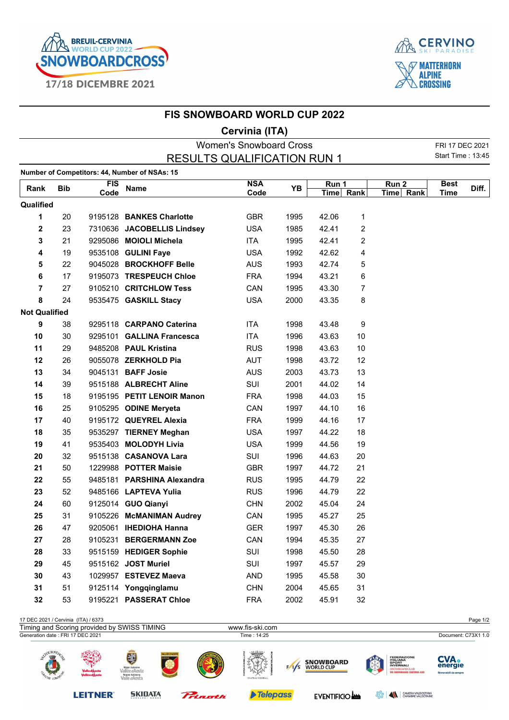



## **FIS SNOWBOARD WORLD CUP 2022**

## **Cervinia (ITA)**

| <b>Women's Snowboard Cross</b>     |            |            |                                               |            |      |           |    |           |             |       |
|------------------------------------|------------|------------|-----------------------------------------------|------------|------|-----------|----|-----------|-------------|-------|
| <b>RESULTS QUALIFICATION RUN 1</b> |            |            |                                               |            |      |           |    |           |             |       |
|                                    |            |            | Number of Competitors: 44, Number of NSAs: 15 |            |      |           |    |           |             |       |
| Rank                               | <b>Bib</b> | <b>FIS</b> | <b>Name</b>                                   | <b>NSA</b> | ΥB   | Run 1     |    | Run 2     | <b>Best</b> | Diff. |
|                                    |            | Code       |                                               | Code       |      | Time Rank |    | Time Rank | <b>Time</b> |       |
| Qualified                          |            |            |                                               |            |      |           |    |           |             |       |
| 1                                  | 20         |            | 9195128 BANKES Charlotte                      | <b>GBR</b> | 1995 | 42.06     | 1  |           |             |       |
| 2                                  | 23         |            | 7310636 JACOBELLIS Lindsey                    | <b>USA</b> | 1985 | 42.41     | 2  |           |             |       |
| 3                                  | 21         |            | 9295086 MOIOLI Michela                        | <b>ITA</b> | 1995 | 42.41     | 2  |           |             |       |
| 4                                  | 19         |            | 9535108 GULINI Faye                           | <b>USA</b> | 1992 | 42.62     | 4  |           |             |       |
| 5                                  | 22         |            | 9045028 BROCKHOFF Belle                       | <b>AUS</b> | 1993 | 42.74     | 5  |           |             |       |
| 6                                  | 17         |            | 9195073 TRESPEUCH Chloe                       | <b>FRA</b> | 1994 | 43.21     | 6  |           |             |       |
| $\overline{7}$                     | 27         |            | 9105210 CRITCHLOW Tess                        | CAN        | 1995 | 43.30     | 7  |           |             |       |
| 8                                  | 24         |            | 9535475 GASKILL Stacy                         | <b>USA</b> | 2000 | 43.35     | 8  |           |             |       |
| <b>Not Qualified</b>               |            |            |                                               |            |      |           |    |           |             |       |
| 9                                  | 38         |            | 9295118 CARPANO Caterina                      | <b>ITA</b> | 1998 | 43.48     | 9  |           |             |       |
| 10                                 | 30         |            | 9295101 GALLINA Francesca                     | ITA        | 1996 | 43.63     | 10 |           |             |       |
| 11                                 | 29         |            | 9485208 PAUL Kristina                         | <b>RUS</b> | 1998 | 43.63     | 10 |           |             |       |
| 12                                 | 26         |            | 9055078 ZERKHOLD Pia                          | <b>AUT</b> | 1998 | 43.72     | 12 |           |             |       |
| 13                                 | 34         |            | 9045131 <b>BAFF Josie</b>                     | <b>AUS</b> | 2003 | 43.73     | 13 |           |             |       |
| 14                                 | 39         |            | 9515188 ALBRECHT Aline                        | SUI        | 2001 | 44.02     | 14 |           |             |       |
| 15                                 | 18         |            | 9195195 PETIT LENOIR Manon                    | <b>FRA</b> | 1998 | 44.03     | 15 |           |             |       |
| 16                                 | 25         |            | 9105295 ODINE Meryeta                         | CAN        | 1997 | 44.10     | 16 |           |             |       |
| 17                                 | 40         |            | 9195172 QUEYREL Alexia                        | <b>FRA</b> | 1999 | 44.16     | 17 |           |             |       |
| 18                                 | 35         |            | 9535297 TIERNEY Meghan                        | <b>USA</b> | 1997 | 44.22     | 18 |           |             |       |
| 19                                 | 41         |            | 9535403 MOLODYH Livia                         | <b>USA</b> | 1999 | 44.56     | 19 |           |             |       |
| 20                                 | 32         |            | 9515138 CASANOVA Lara                         | SUI        | 1996 | 44.63     | 20 |           |             |       |
| 21                                 | 50         |            | 1229988 POTTER Maisie                         | <b>GBR</b> | 1997 | 44.72     | 21 |           |             |       |
| 22                                 | 55         |            | 9485181 PARSHINA Alexandra                    | <b>RUS</b> | 1995 | 44.79     | 22 |           |             |       |
| 23                                 | 52         |            | 9485166 LAPTEVA Yulia                         | <b>RUS</b> | 1996 | 44.79     | 22 |           |             |       |
| 24                                 | 60         |            | 9125014 GUO Qianyi                            | <b>CHN</b> | 2002 | 45.04     | 24 |           |             |       |
| 25                                 | 31         |            | 9105226 McMANIMAN Audrey                      | CAN        | 1995 | 45.27     | 25 |           |             |       |
| 26                                 | 47         |            | 9205061 IHEDIOHA Hanna                        | GER        | 1997 | 45.30     | 26 |           |             |       |
| 27                                 | 28         |            | 9105231 BERGERMANN Zoe                        | CAN        | 1994 | 45.35     | 27 |           |             |       |
| 28                                 | 33         |            | 9515159 HEDIGER Sophie                        | SUI        | 1998 | 45.50     | 28 |           |             |       |
| 29                                 | 45         |            | 9515162 JOST Muriel                           | SUI        | 1997 | 45.57     | 29 |           |             |       |
| 30                                 | 43         |            | 1029957 ESTEVEZ Maeva                         | <b>AND</b> | 1995 | 45.58     | 30 |           |             |       |
| 31                                 | 51         |            | 9125114 Yongqinglamu                          | <b>CHN</b> | 2004 | 45.65     | 31 |           |             |       |
| 32                                 | 53         |            | 9195221 PASSERAT Chloe                        | <b>FRA</b> | 2002 | 45.91     | 32 |           |             |       |
|                                    |            |            |                                               |            |      |           |    |           |             |       |

| 17 DEC 2021 / Cervinia (ITA) / 6373              |                                  |                                                                             |         |                                  |     |                                      |      |                                                                                                                         | Page 1/2                                        |
|--------------------------------------------------|----------------------------------|-----------------------------------------------------------------------------|---------|----------------------------------|-----|--------------------------------------|------|-------------------------------------------------------------------------------------------------------------------------|-------------------------------------------------|
| Timing and Scoring provided by SWISS TIMING      |                                  |                                                                             |         | www.fis-ski.com                  |     |                                      |      |                                                                                                                         |                                                 |
| Generation date : FRI 17 DEC 2021                |                                  |                                                                             |         | Time: 14:25                      |     |                                      |      |                                                                                                                         | Document: C73X1 1.0                             |
| $\bigcirc$ URN $F_A$<br>$\mathbb{F}^2$<br>$\sim$ | Valle d'Àosta<br>Vallé e d'Àoste | E<br>Rigion Autonome<br>Vallée d'Aoste<br>Regione Autonoma<br>Valle d'Aosta | Ρ,      | <u>، سست</u><br>CHATEAU HIGHBALL | 1/s | <b>SNOWBOARD</b><br><b>WORLD CUP</b> |      | <b>FEDERAZIONE</b><br>ITALIANA<br><b>SPORT</b><br><b>INVERNALI</b><br>SNOWBOARDCLUB<br><b>WE SNOWBOARD CERVINIA ASD</b> | <b>CVA.</b><br>energie<br>Rinnovabili da sempre |
|                                                  | <b>LEITNER</b>                   | <b>SKIDATA</b>                                                              | Pringth | <b>Telepass</b>                  |     | <b>EVENTIFICIO AND</b>               | ૱ೕૢ૿ | $\blacktriangle$<br>CAMERA VALDOSTANA<br>CHAMBRE VALDOTAINE                                                             |                                                 |